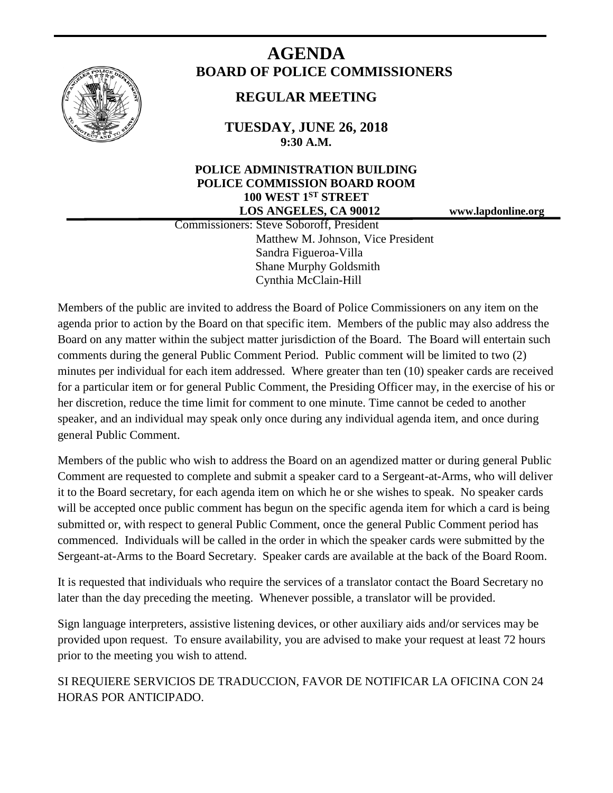

# **AGENDA BOARD OF POLICE COMMISSIONERS**

# **REGULAR MEETING**

**TUESDAY, JUNE 26, 2018 9:30 A.M.**

## **POLICE ADMINISTRATION BUILDING POLICE COMMISSION BOARD ROOM 100 WEST 1ST STREET LOS ANGELES, CA 90012 www.lapdonline.org**

 Commissioners: Steve Soboroff, President Matthew M. Johnson, Vice President Sandra Figueroa-Villa Shane Murphy Goldsmith Cynthia McClain-Hill

Members of the public are invited to address the Board of Police Commissioners on any item on the agenda prior to action by the Board on that specific item. Members of the public may also address the Board on any matter within the subject matter jurisdiction of the Board. The Board will entertain such comments during the general Public Comment Period. Public comment will be limited to two (2) minutes per individual for each item addressed. Where greater than ten (10) speaker cards are received for a particular item or for general Public Comment, the Presiding Officer may, in the exercise of his or her discretion, reduce the time limit for comment to one minute. Time cannot be ceded to another speaker, and an individual may speak only once during any individual agenda item, and once during general Public Comment.

Members of the public who wish to address the Board on an agendized matter or during general Public Comment are requested to complete and submit a speaker card to a Sergeant-at-Arms, who will deliver it to the Board secretary, for each agenda item on which he or she wishes to speak. No speaker cards will be accepted once public comment has begun on the specific agenda item for which a card is being submitted or, with respect to general Public Comment, once the general Public Comment period has commenced. Individuals will be called in the order in which the speaker cards were submitted by the Sergeant-at-Arms to the Board Secretary. Speaker cards are available at the back of the Board Room.

It is requested that individuals who require the services of a translator contact the Board Secretary no later than the day preceding the meeting. Whenever possible, a translator will be provided.

Sign language interpreters, assistive listening devices, or other auxiliary aids and/or services may be provided upon request. To ensure availability, you are advised to make your request at least 72 hours prior to the meeting you wish to attend.

SI REQUIERE SERVICIOS DE TRADUCCION, FAVOR DE NOTIFICAR LA OFICINA CON 24 HORAS POR ANTICIPADO.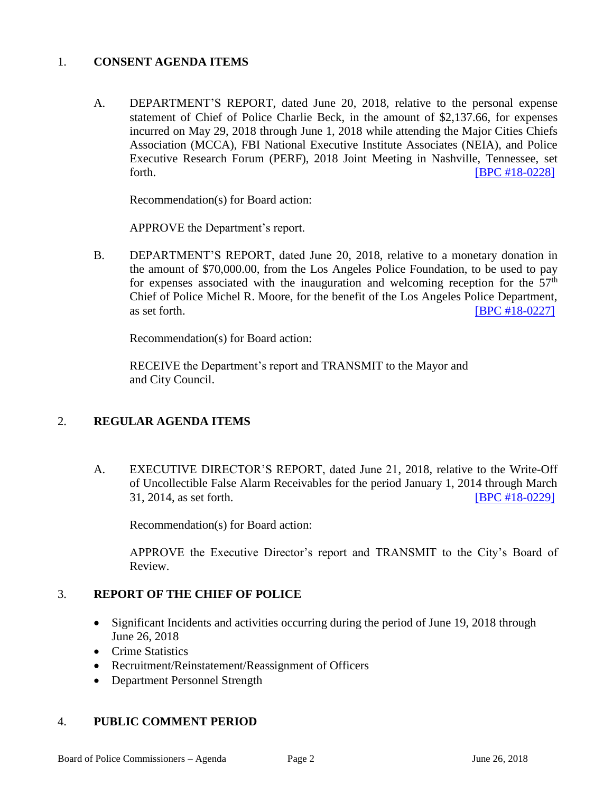#### 1. **CONSENT AGENDA ITEMS**

A. DEPARTMENT'S REPORT, dated June 20, 2018, relative to the personal expense statement of Chief of Police Charlie Beck, in the amount of \$2,137.66, for expenses incurred on May 29, 2018 through June 1, 2018 while attending the Major Cities Chiefs Association (MCCA), FBI National Executive Institute Associates (NEIA), and Police Executive Research Forum (PERF), 2018 Joint Meeting in Nashville, Tennessee, set forth. **IBPC #18-0228** 

Recommendation(s) for Board action:

APPROVE the Department's report.

B. DEPARTMENT'S REPORT, dated June 20, 2018, relative to a monetary donation in the amount of \$70,000.00, from the Los Angeles Police Foundation, to be used to pay for expenses associated with the inauguration and welcoming reception for the  $57<sup>th</sup>$ Chief of Police Michel R. Moore, for the benefit of the Los Angeles Police Department, as set forth. **IBPC #18-0227]** 

Recommendation(s) for Board action:

RECEIVE the Department's report and TRANSMIT to the Mayor and and City Council.

### 2. **REGULAR AGENDA ITEMS**

A. EXECUTIVE DIRECTOR'S REPORT, dated June 21, 2018, relative to the Write-Off of Uncollectible False Alarm Receivables for the period January 1, 2014 through March 31, 2014, as set forth. [\[BPC #18-0229\]](http://www.lapdpolicecom.lacity.org/062618/BPC_18-0229.pdf)

Recommendation(s) for Board action:

APPROVE the Executive Director's report and TRANSMIT to the City's Board of Review.

### 3. **REPORT OF THE CHIEF OF POLICE**

- Significant Incidents and activities occurring during the period of June 19, 2018 through June 26, 2018
- Crime Statistics
- Recruitment/Reinstatement/Reassignment of Officers
- Department Personnel Strength

### 4. **PUBLIC COMMENT PERIOD**